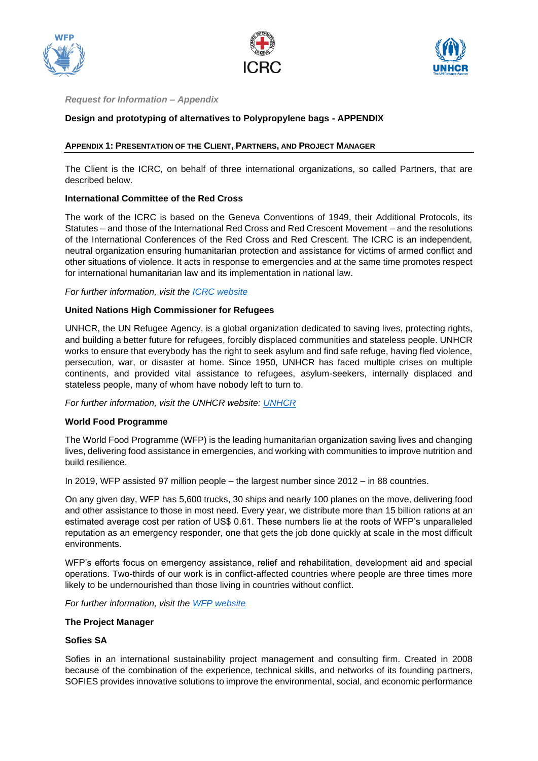





## *Request for Information – Appendix*

# **Design and prototyping of alternatives to Polypropylene bags - APPENDIX**

# **APPENDIX 1: PRESENTATION OF THE CLIENT, PARTNERS, AND PROJECT MANAGER**

The Client is the ICRC, on behalf of three international organizations, so called Partners, that are described below.

## **International Committee of the Red Cross**

The work of the ICRC is based on the Geneva Conventions of 1949, their Additional Protocols, its Statutes – and those of the International Red Cross and Red Crescent Movement – and the resolutions of the International Conferences of the Red Cross and Red Crescent. The ICRC is an independent, neutral organization ensuring humanitarian protection and assistance for victims of armed conflict and other situations of violence. It acts in response to emergencies and at the same time promotes respect for international humanitarian law and its implementation in national law.

*For further information, visit the [ICRC website](https://www.icrc.org/en/who-we-are)*

## **United Nations High Commissioner for Refugees**

UNHCR, the UN Refugee Agency, is a global organization dedicated to saving lives, protecting rights, and building a better future for refugees, forcibly displaced communities and stateless people. UNHCR works to ensure that everybody has the right to seek asylum and find safe refuge, having fled violence, persecution, war, or disaster at home. Since 1950, UNHCR has faced multiple crises on multiple continents, and provided vital assistance to refugees, asylum-seekers, internally displaced and stateless people, many of whom have nobody left to turn to.

*For further information, visit the UNHCR website: [UNHCR](https://www.unhcr.org/about-us.html)*

#### **World Food Programme**

The World Food Programme (WFP) is the leading humanitarian organization saving lives and changing lives, delivering food assistance in emergencies, and working with communities to improve nutrition and build resilience.

In 2019, WFP assisted 97 million people – the largest number since 2012 – in 88 countries.

On any given day, WFP has 5,600 trucks, 30 ships and nearly 100 planes on the move, delivering food and other assistance to those in most need. Every year, we distribute more than 15 billion rations at an estimated average cost per ration of US\$ 0.61. These numbers lie at the roots of WFP's unparalleled reputation as an emergency responder, one that gets the job done quickly at scale in the most difficult environments.

WFP's efforts focus on emergency assistance, relief and rehabilitation, development aid and special operations. Two-thirds of our work is in conflict-affected countries where people are three times more likely to be undernourished than those living in countries without conflict.

*For further information, visit the [WFP website](https://www.wfp.org/who-we-are)*

#### **The Project Manager**

# **Sofies SA**

Sofies in an international sustainability project management and consulting firm. Created in 2008 because of the combination of the experience, technical skills, and networks of its founding partners, SOFIES provides innovative solutions to improve the environmental, social, and economic performance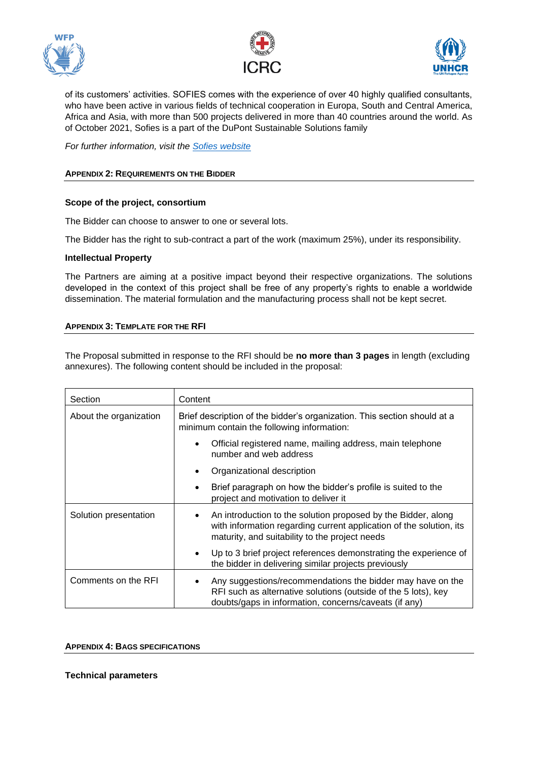





of its customers' activities. SOFIES comes with the experience of over 40 highly qualified consultants, who have been active in various fields of technical cooperation in Europa, South and Central America, Africa and Asia, with more than 500 projects delivered in more than 40 countries around the world. As of October 2021, Sofies is a part of the DuPont Sustainable Solutions family

*For further information, visit the [Sofies website](https://sofiesgroup.com/en/)*

# **APPENDIX 2: REQUIREMENTS ON THE BIDDER**

## **Scope of the project, consortium**

The Bidder can choose to answer to one or several lots.

The Bidder has the right to sub-contract a part of the work (maximum 25%), under its responsibility.

#### **Intellectual Property**

The Partners are aiming at a positive impact beyond their respective organizations. The solutions developed in the context of this project shall be free of any property's rights to enable a worldwide dissemination. The material formulation and the manufacturing process shall not be kept secret.

## **APPENDIX 3: TEMPLATE FOR THE RFI**

The Proposal submitted in response to the RFI should be **no more than 3 pages** in length (excluding annexures). The following content should be included in the proposal:

| Section                | Content                                                                                                                                                                                |
|------------------------|----------------------------------------------------------------------------------------------------------------------------------------------------------------------------------------|
| About the organization | Brief description of the bidder's organization. This section should at a<br>minimum contain the following information:                                                                 |
|                        | Official registered name, mailing address, main telephone<br>number and web address                                                                                                    |
|                        | Organizational description                                                                                                                                                             |
|                        | Brief paragraph on how the bidder's profile is suited to the<br>project and motivation to deliver it                                                                                   |
| Solution presentation  | An introduction to the solution proposed by the Bidder, along<br>with information regarding current application of the solution, its<br>maturity, and suitability to the project needs |
|                        | Up to 3 brief project references demonstrating the experience of<br>the bidder in delivering similar projects previously                                                               |
| Comments on the RFI    | Any suggestions/recommendations the bidder may have on the<br>RFI such as alternative solutions (outside of the 5 lots), key<br>doubts/gaps in information, concerns/caveats (if any)  |

#### **APPENDIX 4: BAGS SPECIFICATIONS**

**Technical parameters**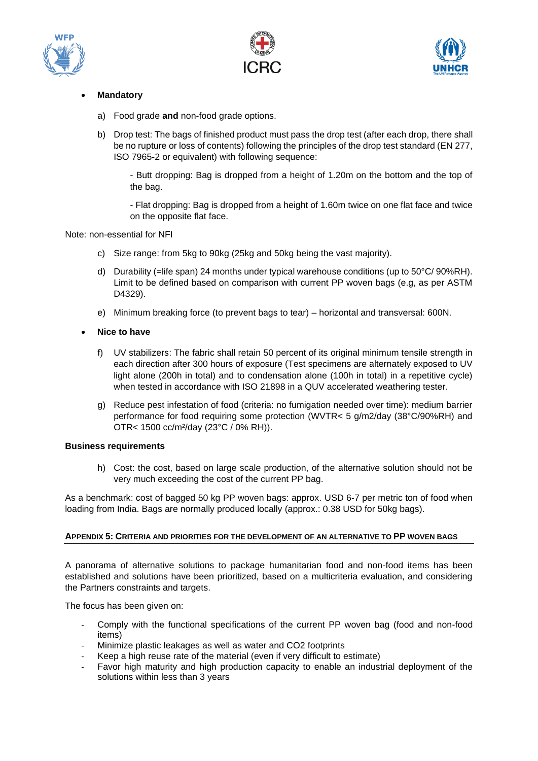





# • **Mandatory**

- a) Food grade **and** non-food grade options.
- b) Drop test: The bags of finished product must pass the drop test (after each drop, there shall be no rupture or loss of contents) following the principles of the drop test standard (EN 277, ISO 7965-2 or equivalent) with following sequence:

- Butt dropping: Bag is dropped from a height of 1.20m on the bottom and the top of the bag.

- Flat dropping: Bag is dropped from a height of 1.60m twice on one flat face and twice on the opposite flat face.

# Note: non-essential for NFI

- c) Size range: from 5kg to 90kg (25kg and 50kg being the vast majority).
- d) Durability (=life span) 24 months under typical warehouse conditions (up to 50°C/ 90%RH). Limit to be defined based on comparison with current PP woven bags (e.g, as per ASTM D4329).
- e) Minimum breaking force (to prevent bags to tear) horizontal and transversal: 600N.
- **Nice to have**
	- f) UV stabilizers: The fabric shall retain 50 percent of its original minimum tensile strength in each direction after 300 hours of exposure (Test specimens are alternately exposed to UV light alone (200h in total) and to condensation alone (100h in total) in a repetitive cycle) when tested in accordance with ISO 21898 in a QUV accelerated weathering tester.
	- g) Reduce pest infestation of food (criteria: no fumigation needed over time): medium barrier performance for food requiring some protection (WVTR< 5 g/m2/day (38°C/90%RH) and OTR< 1500 cc/m²/day (23°C / 0% RH)).

#### **Business requirements**

h) Cost: the cost, based on large scale production, of the alternative solution should not be very much exceeding the cost of the current PP bag.

As a benchmark: cost of bagged 50 kg PP woven bags: approx. USD 6-7 per metric ton of food when loading from India. Bags are normally produced locally (approx.: 0.38 USD for 50kg bags).

# **APPENDIX 5: CRITERIA AND PRIORITIES FOR THE DEVELOPMENT OF AN ALTERNATIVE TO PP WOVEN BAGS**

A panorama of alternative solutions to package humanitarian food and non-food items has been established and solutions have been prioritized, based on a multicriteria evaluation, and considering the Partners constraints and targets.

The focus has been given on:

- Comply with the functional specifications of the current PP woven bag (food and non-food items)
- Minimize plastic leakages as well as water and CO2 footprints
- Keep a high reuse rate of the material (even if very difficult to estimate)
- Favor high maturity and high production capacity to enable an industrial deployment of the solutions within less than 3 years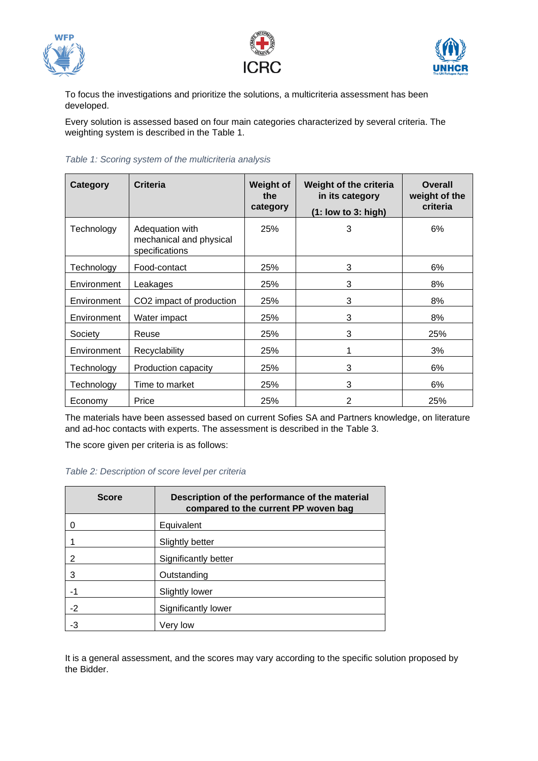





To focus the investigations and prioritize the solutions, a multicriteria assessment has been developed.

Every solution is assessed based on four main categories characterized by several criteria. The weighting system is described in the [Table 1.](#page-3-0)

<span id="page-3-0"></span>

| Table 1: Scoring system of the multicriteria analysis |  |  |  |
|-------------------------------------------------------|--|--|--|
|-------------------------------------------------------|--|--|--|

| Category    | <b>Criteria</b>                                              | <b>Weight of</b><br>the<br>category | Weight of the criteria<br>in its category<br>$(1:$ low to $3:$ high) | <b>Overall</b><br>weight of the<br>criteria |
|-------------|--------------------------------------------------------------|-------------------------------------|----------------------------------------------------------------------|---------------------------------------------|
| Technology  | Adequation with<br>mechanical and physical<br>specifications | 25%                                 | 3                                                                    | 6%                                          |
| Technology  | Food-contact                                                 | 25%                                 | 3                                                                    | 6%                                          |
| Environment | Leakages                                                     | 25%                                 | 3                                                                    | 8%                                          |
| Environment | CO2 impact of production                                     | 25%                                 | 3                                                                    | 8%                                          |
| Environment | Water impact                                                 | 25%                                 | 3                                                                    | 8%                                          |
| Society     | Reuse                                                        | 25%                                 | 3                                                                    | 25%                                         |
| Environment | Recyclability                                                | 25%                                 | 1                                                                    | 3%                                          |
| Technology  | Production capacity                                          |                                     | 3                                                                    | 6%                                          |
| Technology  | Time to market                                               | 25%                                 | 3                                                                    | 6%                                          |
| Economy     | Price                                                        | 25%                                 | $\overline{2}$                                                       | 25%                                         |

The materials have been assessed based on current Sofies SA and Partners knowledge, on literature and ad-hoc contacts with experts. The assessment is described in the [Table 3.](#page-4-0)

The score given per criteria is as follows:

| <b>Score</b> | Description of the performance of the material<br>compared to the current PP woven bag |  |  |  |  |  |  |  |  |
|--------------|----------------------------------------------------------------------------------------|--|--|--|--|--|--|--|--|
|              | Equivalent                                                                             |  |  |  |  |  |  |  |  |
|              | Slightly better                                                                        |  |  |  |  |  |  |  |  |
| 2            | Significantly better                                                                   |  |  |  |  |  |  |  |  |
| 3            | Outstanding                                                                            |  |  |  |  |  |  |  |  |
| -1           | <b>Slightly lower</b>                                                                  |  |  |  |  |  |  |  |  |
| $-2$         | Significantly lower                                                                    |  |  |  |  |  |  |  |  |
| -3           | Verv low                                                                               |  |  |  |  |  |  |  |  |

It is a general assessment, and the scores may vary according to the specific solution proposed by the Bidder.